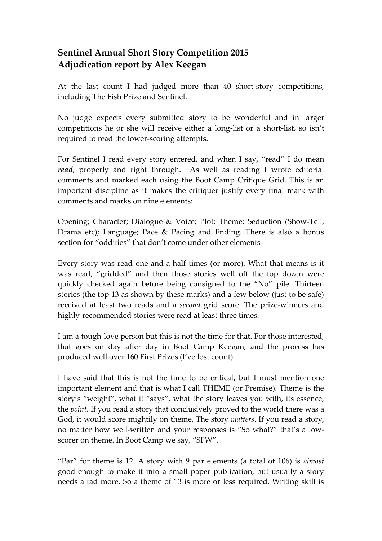# **Sentinel Annual Short Story Competition 2015 Adjudication report by Alex Keegan**

At the last count I had judged more than 40 short-story competitions, including The Fish Prize and Sentinel.

No judge expects every submitted story to be wonderful and in larger competitions he or she will receive either a long-list or a short-list, so isn't required to read the lower-scoring attempts.

For Sentinel I read every story entered, and when I say, "read" I do mean *read*, properly and right through. As well as reading I wrote editorial comments and marked each using the Boot Camp Critique Grid. This is an important discipline as it makes the critiquer justify every final mark with comments and marks on nine elements:

Opening; Character; Dialogue & Voice; Plot; Theme; Seduction (Show-Tell, Drama etc); Language; Pace & Pacing and Ending. There is also a bonus section for "oddities" that don't come under other elements

Every story was read one-and-a-half times (or more). What that means is it was read, "gridded" and then those stories well off the top dozen were quickly checked again before being consigned to the "No" pile. Thirteen stories (the top 13 as shown by these marks) and a few below (just to be safe) received at least two reads and a *second* grid score. The prize-winners and highly-recommended stories were read at least three times.

I am a tough-love person but this is not the time for that. For those interested, that goes on day after day in Boot Camp Keegan, and the process has produced well over 160 First Prizes (I've lost count).

I have said that this is not the time to be critical, but I must mention one important element and that is what I call THEME (or Premise). Theme is the story's "weight", what it "says", what the story leaves you with, its essence, the *point*. If you read a story that conclusively proved to the world there was a God, it would score mightily on theme. The story *matters*. If you read a story, no matter how well-written and your responses is "So what?" that's a lowscorer on theme. In Boot Camp we say, "SFW".

"Par" for theme is 12. A story with 9 par elements (a total of 106) is *almost*  good enough to make it into a small paper publication, but usually a story needs a tad more. So a theme of 13 is more or less required. Writing skill is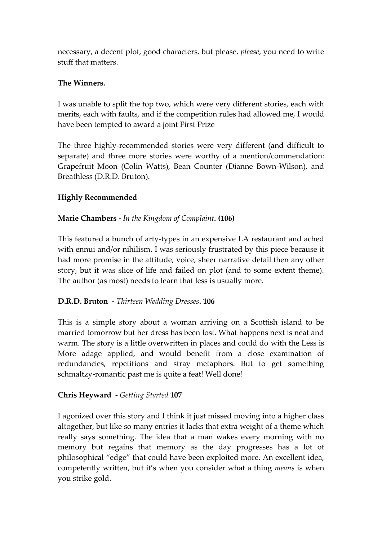necessary, a decent plot, good characters, but please, *please*, you need to write stuff that matters.

# **The Winners.**

I was unable to split the top two, which were very different stories, each with merits, each with faults, and if the competition rules had allowed me, I would have been tempted to award a joint First Prize

The three highly-recommended stories were very different (and difficult to separate) and three more stories were worthy of a mention/commendation: Grapefruit Moon (Colin Watts), Bean Counter (Dianne Bown-Wilson), and Breathless (D.R.D. Bruton).

# **Highly Recommended**

#### **Marie Chambers -** *In the Kingdom of Complaint.* **(106)**

This featured a bunch of arty-types in an expensive LA restaurant and ached with ennui and/or nihilism. I was seriously frustrated by this piece because it had more promise in the attitude, voice, sheer narrative detail then any other story, but it was slice of life and failed on plot (and to some extent theme). The author (as most) needs to learn that less is usually more.

#### **D.R.D. Bruton -** *Thirteen Wedding Dresses***. 106**

This is a simple story about a woman arriving on a Scottish island to be married tomorrow but her dress has been lost. What happens next is neat and warm. The story is a little overwritten in places and could do with the Less is More adage applied, and would benefit from a close examination of redundancies, repetitions and stray metaphors. But to get something schmaltzy-romantic past me is quite a feat! Well done!

#### **Chris Heyward -** *Getting Started* **107**

I agonized over this story and I think it just missed moving into a higher class altogether, but like so many entries it lacks that extra weight of a theme which really says something. The idea that a man wakes every morning with no memory but regains that memory as the day progresses has a lot of philosophical "edge" that could have been exploited more. An excellent idea, competently written, but it's when you consider what a thing *means* is when you strike gold.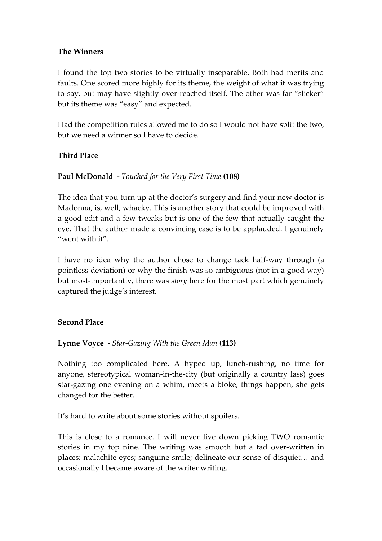#### **The Winners**

I found the top two stories to be virtually inseparable. Both had merits and faults. One scored more highly for its theme, the weight of what it was trying to say, but may have slightly over-reached itself. The other was far "slicker" but its theme was "easy" and expected.

Had the competition rules allowed me to do so I would not have split the two, but we need a winner so I have to decide.

#### **Third Place**

#### **Paul McDonald -** *Touched for the Very First Time* **(108)**

The idea that you turn up at the doctor's surgery and find your new doctor is Madonna, is, well, whacky. This is another story that could be improved with a good edit and a few tweaks but is one of the few that actually caught the eye. That the author made a convincing case is to be applauded. I genuinely "went with it".

I have no idea why the author chose to change tack half-way through (a pointless deviation) or why the finish was so ambiguous (not in a good way) but most-importantly, there was *story* here for the most part which genuinely captured the judge's interest.

#### **Second Place**

#### **Lynne Voyce -** *Star-Gazing With the Green Man* **(113)**

Nothing too complicated here. A hyped up, lunch-rushing, no time for anyone, stereotypical woman-in-the-city (but originally a country lass) goes star-gazing one evening on a whim, meets a bloke, things happen, she gets changed for the better.

It's hard to write about some stories without spoilers.

This is close to a romance. I will never live down picking TWO romantic stories in my top nine. The writing was smooth but a tad over-written in places: malachite eyes; sanguine smile; delineate our sense of disquiet… and occasionally I became aware of the writer writing.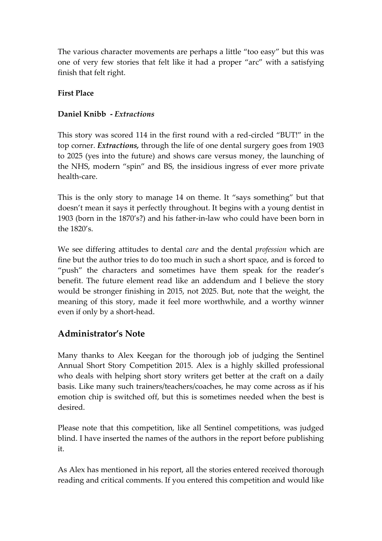The various character movements are perhaps a little "too easy" but this was one of very few stories that felt like it had a proper "arc" with a satisfying finish that felt right.

# **First Place**

# **Daniel Knibb -** *Extractions*

This story was scored 114 in the first round with a red-circled "BUT!" in the top corner. *Extractions,* through the life of one dental surgery goes from 1903 to 2025 (yes into the future) and shows care versus money, the launching of the NHS, modern "spin" and BS, the insidious ingress of ever more private health-care.

This is the only story to manage 14 on theme. It "says something" but that doesn't mean it says it perfectly throughout. It begins with a young dentist in 1903 (born in the 1870's?) and his father-in-law who could have been born in the 1820's.

We see differing attitudes to dental *care* and the dental *profession* which are fine but the author tries to do too much in such a short space, and is forced to "push" the characters and sometimes have them speak for the reader's benefit. The future element read like an addendum and I believe the story would be stronger finishing in 2015, not 2025. But, note that the weight, the meaning of this story, made it feel more worthwhile, and a worthy winner even if only by a short-head.

# **Administrator's Note**

Many thanks to Alex Keegan for the thorough job of judging the Sentinel Annual Short Story Competition 2015. Alex is a highly skilled professional who deals with helping short story writers get better at the craft on a daily basis. Like many such trainers/teachers/coaches, he may come across as if his emotion chip is switched off, but this is sometimes needed when the best is desired.

Please note that this competition, like all Sentinel competitions, was judged blind. I have inserted the names of the authors in the report before publishing it.

As Alex has mentioned in his report, all the stories entered received thorough reading and critical comments. If you entered this competition and would like